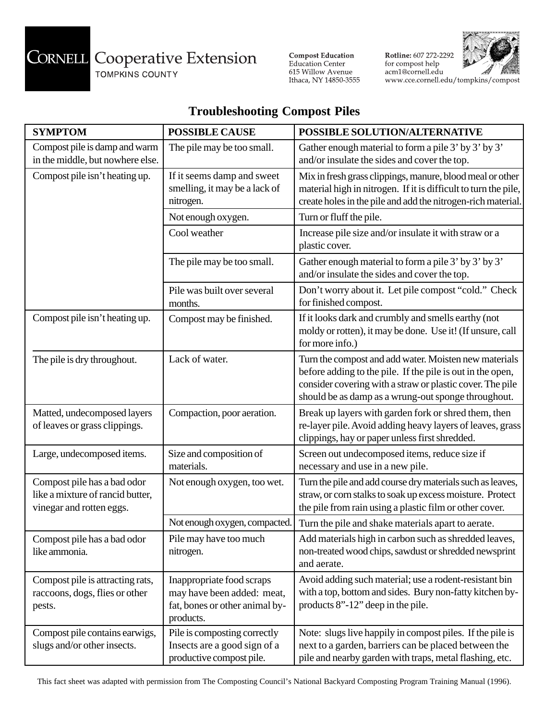## **CORNELL** Cooperative Extension

TOMPKINS COUNTY

**Compost Education**<br>Education Center 615 Willow Avenue Ithaca, NY 14850-3555 Rotline: 607 272-2292<br>for compost help<br>acm1@cornell.edu www.cce.cornell.edu/tompkins/compost



## **Troubleshooting Compost Piles**

| <b>SYMPTOM</b>                                                                              | <b>POSSIBLE CAUSE</b>                                                                                  | POSSIBLE SOLUTION/ALTERNATIVE                                                                                                                                                                                                           |
|---------------------------------------------------------------------------------------------|--------------------------------------------------------------------------------------------------------|-----------------------------------------------------------------------------------------------------------------------------------------------------------------------------------------------------------------------------------------|
| Compost pile is damp and warm<br>in the middle, but nowhere else.                           | The pile may be too small.                                                                             | Gather enough material to form a pile 3' by 3' by 3'<br>and/or insulate the sides and cover the top.                                                                                                                                    |
| Compost pile isn't heating up.                                                              | If it seems damp and sweet<br>smelling, it may be a lack of<br>nitrogen.                               | Mix in fresh grass clippings, manure, blood meal or other<br>material high in nitrogen. If it is difficult to turn the pile,<br>create holes in the pile and add the nitrogen-rich material.                                            |
|                                                                                             | Not enough oxygen.                                                                                     | Turn or fluff the pile.                                                                                                                                                                                                                 |
|                                                                                             | Cool weather                                                                                           | Increase pile size and/or insulate it with straw or a<br>plastic cover.                                                                                                                                                                 |
|                                                                                             | The pile may be too small.                                                                             | Gather enough material to form a pile 3' by 3' by 3'<br>and/or insulate the sides and cover the top.                                                                                                                                    |
|                                                                                             | Pile was built over several<br>months.                                                                 | Don't worry about it. Let pile compost "cold." Check<br>for finished compost.                                                                                                                                                           |
| Compost pile isn't heating up.                                                              | Compost may be finished.                                                                               | If it looks dark and crumbly and smells earthy (not<br>moldy or rotten), it may be done. Use it! (If unsure, call<br>for more info.)                                                                                                    |
| The pile is dry throughout.                                                                 | Lack of water.                                                                                         | Turn the compost and add water. Moisten new materials<br>before adding to the pile. If the pile is out in the open,<br>consider covering with a straw or plastic cover. The pile<br>should be as damp as a wrung-out sponge throughout. |
| Matted, undecomposed layers<br>of leaves or grass clippings.                                | Compaction, poor aeration.                                                                             | Break up layers with garden fork or shred them, then<br>re-layer pile. Avoid adding heavy layers of leaves, grass<br>clippings, hay or paper unless first shredded.                                                                     |
| Large, undecomposed items.                                                                  | Size and composition of<br>materials.                                                                  | Screen out undecomposed items, reduce size if<br>necessary and use in a new pile.                                                                                                                                                       |
| Compost pile has a bad odor<br>like a mixture of rancid butter,<br>vinegar and rotten eggs. | Not enough oxygen, too wet.                                                                            | Turn the pile and add course dry materials such as leaves,<br>straw, or corn stalks to soak up excess moisture. Protect<br>the pile from rain using a plastic film or other cover.                                                      |
|                                                                                             | Not enough oxygen, compacted.                                                                          | Turn the pile and shake materials apart to aerate.                                                                                                                                                                                      |
| Compost pile has a bad odor<br>like ammonia.                                                | Pile may have too much<br>nitrogen.                                                                    | Add materials high in carbon such as shredded leaves,<br>non-treated wood chips, sawdust or shredded newsprint<br>and aerate.                                                                                                           |
| Compost pile is attracting rats,<br>raccoons, dogs, flies or other<br>pests.                | Inappropriate food scraps<br>may have been added: meat,<br>fat, bones or other animal by-<br>products. | Avoid adding such material; use a rodent-resistant bin<br>with a top, bottom and sides. Bury non-fatty kitchen by-<br>products 8"-12" deep in the pile.                                                                                 |
| Compost pile contains earwigs,<br>slugs and/or other insects.                               | Pile is composting correctly<br>Insects are a good sign of a<br>productive compost pile.               | Note: slugs live happily in compost piles. If the pile is<br>next to a garden, barriers can be placed between the<br>pile and nearby garden with traps, metal flashing, etc.                                                            |

This fact sheet was adapted with permission from The Composting Council's National Backyard Composting Program Training Manual (1996).